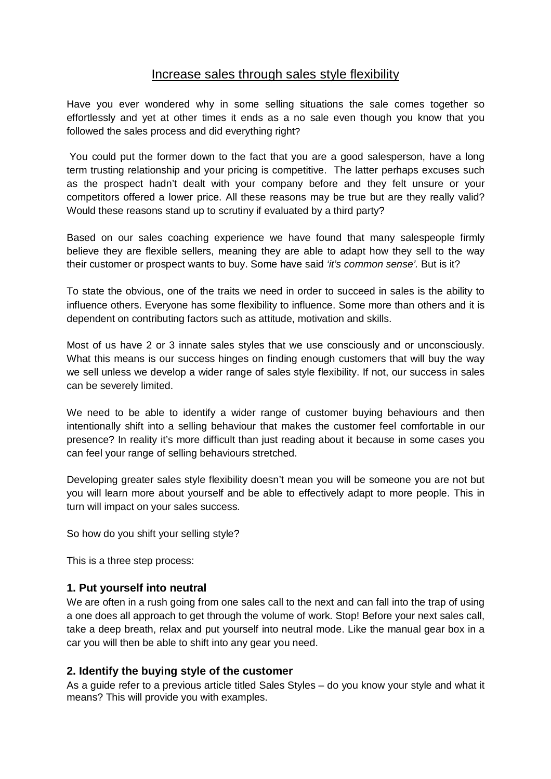## Increase sales through sales style flexibility

Have you ever wondered why in some selling situations the sale comes together so effortlessly and yet at other times it ends as a no sale even though you know that you followed the sales process and did everything right?

You could put the former down to the fact that you are a good salesperson, have a long term trusting relationship and your pricing is competitive. The latter perhaps excuses such as the prospect hadn't dealt with your company before and they felt unsure or your competitors offered a lower price. All these reasons may be true but are they really valid? Would these reasons stand up to scrutiny if evaluated by a third party?

Based on our sales coaching experience we have found that many salespeople firmly believe they are flexible sellers, meaning they are able to adapt how they sell to the way their customer or prospect wants to buy. Some have said *'it's common sense'.* But is it?

To state the obvious, one of the traits we need in order to succeed in sales is the ability to influence others. Everyone has some flexibility to influence. Some more than others and it is dependent on contributing factors such as attitude, motivation and skills.

Most of us have 2 or 3 innate sales styles that we use consciously and or unconsciously. What this means is our success hinges on finding enough customers that will buy the way we sell unless we develop a wider range of sales style flexibility. If not, our success in sales can be severely limited.

We need to be able to identify a wider range of customer buying behaviours and then intentionally shift into a selling behaviour that makes the customer feel comfortable in our presence? In reality it's more difficult than just reading about it because in some cases you can feel your range of selling behaviours stretched.

Developing greater sales style flexibility doesn't mean you will be someone you are not but you will learn more about yourself and be able to effectively adapt to more people. This in turn will impact on your sales success.

So how do you shift your selling style?

This is a three step process:

## **1. Put yourself into neutral**

We are often in a rush going from one sales call to the next and can fall into the trap of using a one does all approach to get through the volume of work. Stop! Before your next sales call, take a deep breath, relax and put yourself into neutral mode. Like the manual gear box in a car you will then be able to shift into any gear you need.

## **2. Identify the buying style of the customer**

As a guide refer to a previous article titled Sales Styles – do you know your style and what it means? This will provide you with examples.